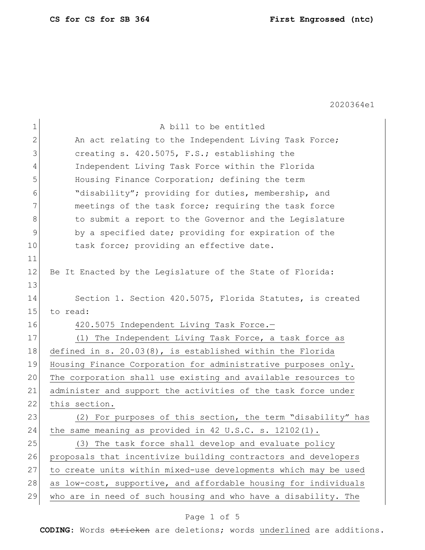| $\mathbf 1$  | A bill to be entitled                                           |  |  |  |  |  |  |  |  |
|--------------|-----------------------------------------------------------------|--|--|--|--|--|--|--|--|
| $\mathbf{2}$ | An act relating to the Independent Living Task Force;           |  |  |  |  |  |  |  |  |
| 3            | creating s. 420.5075, F.S.; establishing the                    |  |  |  |  |  |  |  |  |
| 4            | Independent Living Task Force within the Florida                |  |  |  |  |  |  |  |  |
| 5            | Housing Finance Corporation; defining the term                  |  |  |  |  |  |  |  |  |
| 6            | "disability"; providing for duties, membership, and             |  |  |  |  |  |  |  |  |
| 7            | meetings of the task force; requiring the task force            |  |  |  |  |  |  |  |  |
| 8            | to submit a report to the Governor and the Legislature          |  |  |  |  |  |  |  |  |
| 9            | by a specified date; providing for expiration of the            |  |  |  |  |  |  |  |  |
| 10           | task force; providing an effective date.                        |  |  |  |  |  |  |  |  |
| 11           |                                                                 |  |  |  |  |  |  |  |  |
| 12           | Be It Enacted by the Legislature of the State of Florida:       |  |  |  |  |  |  |  |  |
| 13           |                                                                 |  |  |  |  |  |  |  |  |
| 14           | Section 1. Section 420.5075, Florida Statutes, is created       |  |  |  |  |  |  |  |  |
| 15           | to read:                                                        |  |  |  |  |  |  |  |  |
| 16           | 420.5075 Independent Living Task Force.-                        |  |  |  |  |  |  |  |  |
| 17           | (1) The Independent Living Task Force, a task force as          |  |  |  |  |  |  |  |  |
| 18           | defined in s. $20.03(8)$ , is established within the Florida    |  |  |  |  |  |  |  |  |
| 19           | Housing Finance Corporation for administrative purposes only.   |  |  |  |  |  |  |  |  |
| 20           | The corporation shall use existing and available resources to   |  |  |  |  |  |  |  |  |
| 21           | administer and support the activities of the task force under   |  |  |  |  |  |  |  |  |
| 22           | this section.                                                   |  |  |  |  |  |  |  |  |
| 23           | (2) For purposes of this section, the term "disability" has     |  |  |  |  |  |  |  |  |
| 24           | the same meaning as provided in 42 U.S.C. s. 12102(1).          |  |  |  |  |  |  |  |  |
| 25           | (3) The task force shall develop and evaluate policy            |  |  |  |  |  |  |  |  |
| 26           | proposals that incentivize building contractors and developers  |  |  |  |  |  |  |  |  |
| 27           | to create units within mixed-use developments which may be used |  |  |  |  |  |  |  |  |
| 28           | as low-cost, supportive, and affordable housing for individuals |  |  |  |  |  |  |  |  |
| 29           | who are in need of such housing and who have a disability. The  |  |  |  |  |  |  |  |  |

## Page 1 of 5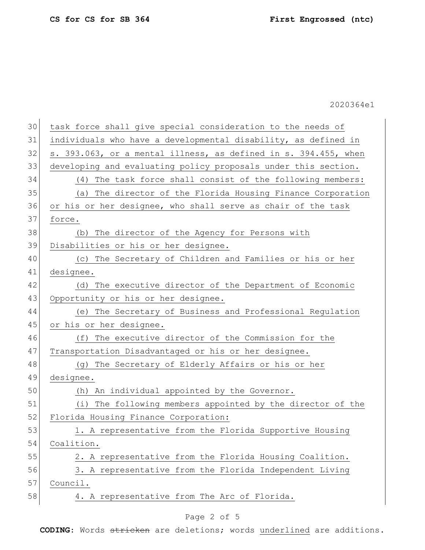| 30 | task force shall give special consideration to the needs of     |  |  |  |  |  |  |  |  |
|----|-----------------------------------------------------------------|--|--|--|--|--|--|--|--|
| 31 | individuals who have a developmental disability, as defined in  |  |  |  |  |  |  |  |  |
| 32 | s. 393.063, or a mental illness, as defined in s. 394.455, when |  |  |  |  |  |  |  |  |
| 33 | developing and evaluating policy proposals under this section.  |  |  |  |  |  |  |  |  |
| 34 | (4) The task force shall consist of the following members:      |  |  |  |  |  |  |  |  |
| 35 | (a) The director of the Florida Housing Finance Corporation     |  |  |  |  |  |  |  |  |
| 36 | or his or her designee, who shall serve as chair of the task    |  |  |  |  |  |  |  |  |
| 37 | force.                                                          |  |  |  |  |  |  |  |  |
| 38 | (b) The director of the Agency for Persons with                 |  |  |  |  |  |  |  |  |
| 39 | Disabilities or his or her designee.                            |  |  |  |  |  |  |  |  |
| 40 | (c) The Secretary of Children and Families or his or her        |  |  |  |  |  |  |  |  |
| 41 | designee.                                                       |  |  |  |  |  |  |  |  |
| 42 | (d) The executive director of the Department of Economic        |  |  |  |  |  |  |  |  |
| 43 | Opportunity or his or her designee.                             |  |  |  |  |  |  |  |  |
| 44 | (e) The Secretary of Business and Professional Regulation       |  |  |  |  |  |  |  |  |
| 45 | or his or her designee.                                         |  |  |  |  |  |  |  |  |
| 46 | (f) The executive director of the Commission for the            |  |  |  |  |  |  |  |  |
| 47 | Transportation Disadvantaged or his or her designee.            |  |  |  |  |  |  |  |  |
| 48 | (g) The Secretary of Elderly Affairs or his or her              |  |  |  |  |  |  |  |  |
| 49 | designee.                                                       |  |  |  |  |  |  |  |  |
| 50 | An individual appointed by the Governor.<br>(h)                 |  |  |  |  |  |  |  |  |
| 51 | The following members appointed by the director of the<br>(i)   |  |  |  |  |  |  |  |  |
| 52 | Florida Housing Finance Corporation:                            |  |  |  |  |  |  |  |  |
| 53 | 1. A representative from the Florida Supportive Housing         |  |  |  |  |  |  |  |  |
| 54 | Coalition.                                                      |  |  |  |  |  |  |  |  |
| 55 | 2. A representative from the Florida Housing Coalition.         |  |  |  |  |  |  |  |  |
| 56 | 3. A representative from the Florida Independent Living         |  |  |  |  |  |  |  |  |
| 57 | Council.                                                        |  |  |  |  |  |  |  |  |
| 58 | 4. A representative from The Arc of Florida.                    |  |  |  |  |  |  |  |  |
|    |                                                                 |  |  |  |  |  |  |  |  |

## Page 2 of 5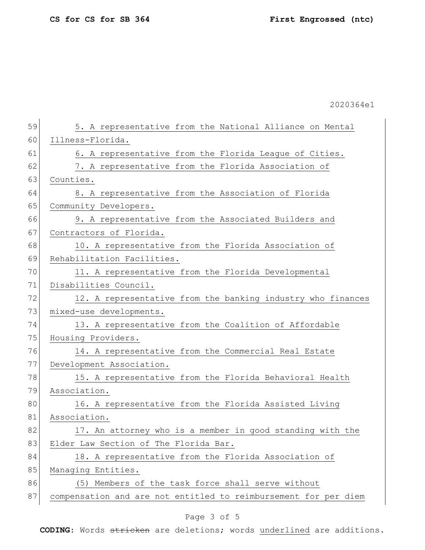59 5. A representative from the National Alliance on Mental 60 Illness-Florida. 61 6. A representative from the Florida League of Cities. 62 7. A representative from the Florida Association of 63 Counties. 64 8. A representative from the Association of Florida 65 Community Developers. 66 9. A representative from the Associated Builders and 67 Contractors of Florida. 68 10. A representative from the Florida Association of 69 Rehabilitation Facilities. 70 11. A representative from the Florida Developmental 71 Disabilities Council. 72 12. A representative from the banking industry who finances 73 mixed-use developments. 74 13. A representative from the Coalition of Affordable 75 Housing Providers. 76 14. A representative from the Commercial Real Estate 77 Development Association. 78 15. A representative from the Florida Behavioral Health 79 Association. 80 16. A representative from the Florida Assisted Living 81 Association. 82 17. An attorney who is a member in good standing with the 83 Elder Law Section of The Florida Bar. 84 18. A representative from the Florida Association of 85 Managing Entities. 86 (5) Members of the task force shall serve without 87 compensation and are not entitled to reimbursement for per diem

## Page 3 of 5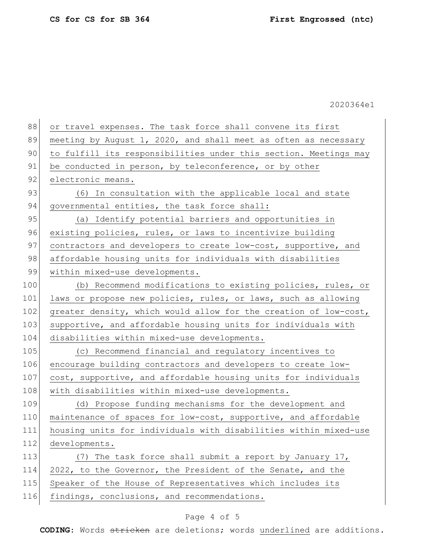| 88  | or travel expenses. The task force shall convene its first       |  |  |  |  |  |  |  |  |  |
|-----|------------------------------------------------------------------|--|--|--|--|--|--|--|--|--|
| 89  | meeting by August 1, 2020, and shall meet as often as necessary  |  |  |  |  |  |  |  |  |  |
| 90  | to fulfill its responsibilities under this section. Meetings may |  |  |  |  |  |  |  |  |  |
| 91  | be conducted in person, by teleconference, or by other           |  |  |  |  |  |  |  |  |  |
| 92  | electronic means.                                                |  |  |  |  |  |  |  |  |  |
| 93  | (6) In consultation with the applicable local and state          |  |  |  |  |  |  |  |  |  |
| 94  | governmental entities, the task force shall:                     |  |  |  |  |  |  |  |  |  |
| 95  | (a) Identify potential barriers and opportunities in             |  |  |  |  |  |  |  |  |  |
| 96  | existing policies, rules, or laws to incentivize building        |  |  |  |  |  |  |  |  |  |
| 97  | contractors and developers to create low-cost, supportive, and   |  |  |  |  |  |  |  |  |  |
| 98  | affordable housing units for individuals with disabilities       |  |  |  |  |  |  |  |  |  |
| 99  | within mixed-use developments.                                   |  |  |  |  |  |  |  |  |  |
| 100 | (b) Recommend modifications to existing policies, rules, or      |  |  |  |  |  |  |  |  |  |
| 101 | laws or propose new policies, rules, or laws, such as allowing   |  |  |  |  |  |  |  |  |  |
| 102 | greater density, which would allow for the creation of low-cost, |  |  |  |  |  |  |  |  |  |
| 103 | supportive, and affordable housing units for individuals with    |  |  |  |  |  |  |  |  |  |
| 104 | disabilities within mixed-use developments.                      |  |  |  |  |  |  |  |  |  |
| 105 | (c) Recommend financial and regulatory incentives to             |  |  |  |  |  |  |  |  |  |
| 106 | encourage building contractors and developers to create low-     |  |  |  |  |  |  |  |  |  |
| 107 | cost, supportive, and affordable housing units for individuals   |  |  |  |  |  |  |  |  |  |
| 108 | with disabilities within mixed-use developments.                 |  |  |  |  |  |  |  |  |  |
| 109 | (d) Propose funding mechanisms for the development and           |  |  |  |  |  |  |  |  |  |
| 110 | maintenance of spaces for low-cost, supportive, and affordable   |  |  |  |  |  |  |  |  |  |
| 111 | housing units for individuals with disabilities within mixed-use |  |  |  |  |  |  |  |  |  |
| 112 | developments.                                                    |  |  |  |  |  |  |  |  |  |
| 113 | The task force shall submit a report by January 17,<br>(7)       |  |  |  |  |  |  |  |  |  |
| 114 | 2022, to the Governor, the President of the Senate, and the      |  |  |  |  |  |  |  |  |  |
| 115 | Speaker of the House of Representatives which includes its       |  |  |  |  |  |  |  |  |  |
| 116 | findings, conclusions, and recommendations.                      |  |  |  |  |  |  |  |  |  |

## Page 4 of 5